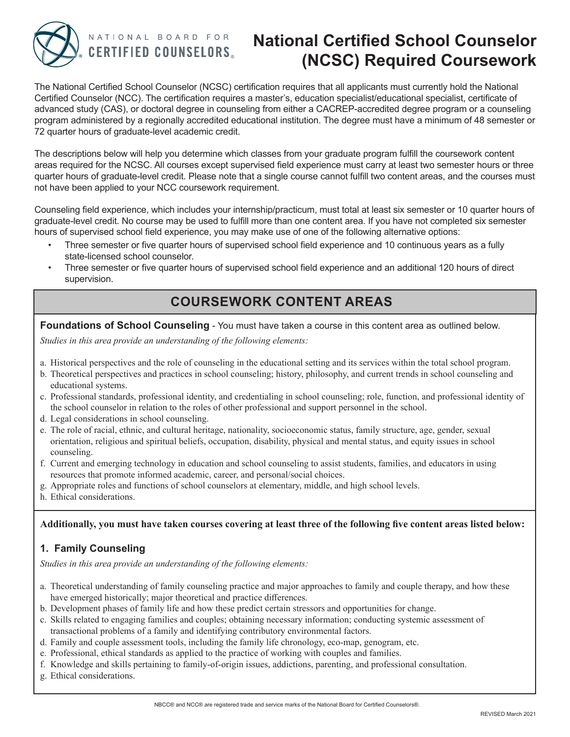

NATIONAL BOARD FOR **CERTIFIED COUNSELORS.** 

# **National Certified School Counselor (NCSC) Required Coursework**

The National Certified School Counselor (NCSC) certification requires that all applicants must currently hold the National Certified Counselor (NCC). The certification requires a master's, education specialist/educational specialist, certificate of advanced study (CAS), or doctoral degree in counseling from either a CACREP-accredited degree program or a counseling program administered by a regionally accredited educational institution. The degree must have a minimum of 48 semester or 72 quarter hours of graduate-level academic credit.

The descriptions below will help you determine which classes from your graduate program fulfill the coursework content areas required for the NCSC. All courses except supervised field experience must carry at least two semester hours or three quarter hours of graduate-level credit. Please note that a single course cannot fulfill two content areas, and the courses must not have been applied to your NCC coursework requirement.

Counseling field experience, which includes your internship/practicum, must total at least six semester or 10 quarter hours of graduate-level credit. No course may be used to fulfill more than one content area. If you have not completed six semester hours of supervised school field experience, you may make use of one of the following alternative options:

- Three semester or five quarter hours of supervised school field experience and 10 continuous years as a fully state-licensed school counselor.
- Three semester or five quarter hours of supervised school field experience and an additional 120 hours of direct supervision.

## **COURSEWORK CONTENT AREAS**

**Foundations of School Counseling** - You must have taken a course in this content area as outlined below.

*Studies in this area provide an understanding of the following elements:*

- a. Historical perspectives and the role of counseling in the educational setting and its services within the total school program.
- b. Theoretical perspectives and practices in school counseling; history, philosophy, and current trends in school counseling and educational systems.
- c. Professional standards, professional identity, and credentialing in school counseling; role, function, and professional identity of the school counselor in relation to the roles of other professional and support personnel in the school.
- d. Legal considerations in school counseling.
- e. The role of racial, ethnic, and cultural heritage, nationality, socioeconomic status, family structure, age, gender, sexual orientation, religious and spiritual beliefs, occupation, disability, physical and mental status, and equity issues in school counseling.
- f. Current and emerging technology in education and school counseling to assist students, families, and educators in using resources that promote informed academic, career, and personal/social choices.
- g. Appropriate roles and functions of school counselors at elementary, middle, and high school levels.
- h. Ethical considerations.

## **Additionally, you must have taken courses covering at least three of the following five content areas listed below:**

## **1. Family Counseling**

*Studies in this area provide an understanding of the following elements:*

- a. Theoretical understanding of family counseling practice and major approaches to family and couple therapy, and how these have emerged historically; major theoretical and practice differences.
- b. Development phases of family life and how these predict certain stressors and opportunities for change.
- c. Skills related to engaging families and couples; obtaining necessary information; conducting systemic assessment of transactional problems of a family and identifying contributory environmental factors.
- d. Family and couple assessment tools, including the family life chronology, eco-map, genogram, etc.
- e. Professional, ethical standards as applied to the practice of working with couples and families.
- f. Knowledge and skills pertaining to family-of-origin issues, addictions, parenting, and professional consultation.
- g. Ethical considerations.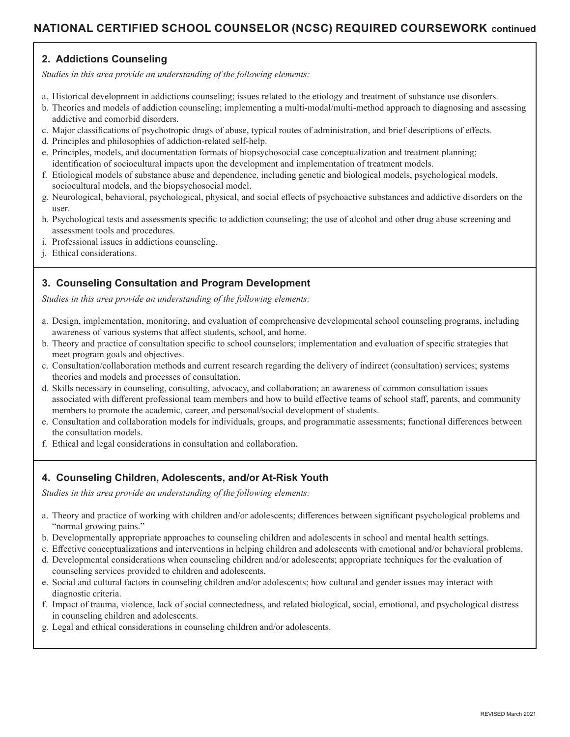## **NATIONAL CERTIFIED SCHOOL COUNSELOR (NCSC) REQUIRED COURSEWORK continued**

## **2. Addictions Counseling**

*Studies in this area provide an understanding of the following elements:*

- a. Historical development in addictions counseling; issues related to the etiology and treatment of substance use disorders.
- b. Theories and models of addiction counseling; implementing a multi-modal/multi-method approach to diagnosing and assessing addictive and comorbid disorders.
- c. Major classifications of psychotropic drugs of abuse, typical routes of administration, and brief descriptions of effects.
- d. Principles and philosophies of addiction-related self-help.
- e. Principles, models, and documentation formats of biopsychosocial case conceptualization and treatment planning; identification of sociocultural impacts upon the development and implementation of treatment models.
- f. Etiological models of substance abuse and dependence, including genetic and biological models, psychological models, sociocultural models, and the biopsychosocial model.
- g. Neurological, behavioral, psychological, physical, and social effects of psychoactive substances and addictive disorders on the user.
- h. Psychological tests and assessments specific to addiction counseling; the use of alcohol and other drug abuse screening and assessment tools and procedures.
- i. Professional issues in addictions counseling.
- j. Ethical considerations.

## **3. Counseling Consultation and Program Development**

*Studies in this area provide an understanding of the following elements:*

- a. Design, implementation, monitoring, and evaluation of comprehensive developmental school counseling programs, including awareness of various systems that affect students, school, and home.
- b. Theory and practice of consultation specific to school counselors; implementation and evaluation of specific strategies that meet program goals and objectives.
- c. Consultation/collaboration methods and current research regarding the delivery of indirect (consultation) services; systems theories and models and processes of consultation.
- d. Skills necessary in counseling, consulting, advocacy, and collaboration; an awareness of common consultation issues associated with different professional team members and how to build effective teams of school staff, parents, and community members to promote the academic, career, and personal/social development of students.
- e. Consultation and collaboration models for individuals, groups, and programmatic assessments; functional differences between the consultation models.
- f. Ethical and legal considerations in consultation and collaboration.

#### **4. Counseling Children, Adolescents, and/or At-Risk Youth**

*Studies in this area provide an understanding of the following elements:*

- a. Theory and practice of working with children and/or adolescents; differences between significant psychological problems and "normal growing pains."
- b. Developmentally appropriate approaches to counseling children and adolescents in school and mental health settings.
- c. Effective conceptualizations and interventions in helping children and adolescents with emotional and/or behavioral problems.
- d. Developmental considerations when counseling children and/or adolescents; appropriate techniques for the evaluation of counseling services provided to children and adolescents.
- e. Social and cultural factors in counseling children and/or adolescents; how cultural and gender issues may interact with diagnostic criteria.
- f. Impact of trauma, violence, lack of social connectedness, and related biological, social, emotional, and psychological distress in counseling children and adolescents.
- g. Legal and ethical considerations in counseling children and/or adolescents.